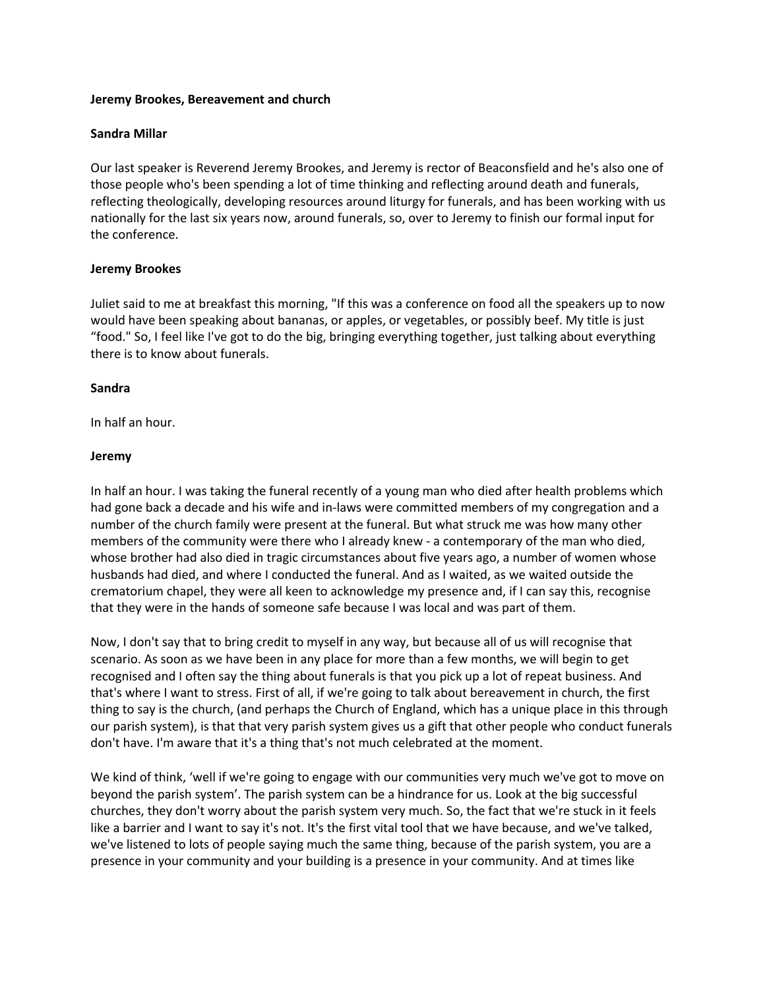## **Jeremy Brookes, Bereavement and church**

# **Sandra Millar**

Our last speaker is Reverend Jeremy Brookes, and Jeremy is rector of Beaconsfield and he's also one of those people who's been spending a lot of time thinking and reflecting around death and funerals, reflecting theologically, developing resources around liturgy for funerals, and has been working with us nationally for the last six years now, around funerals, so, over to Jeremy to finish our formal input for the conference.

# **Jeremy Brookes**

Juliet said to me at breakfast this morning, "If this was a conference on food all the speakers up to now would have been speaking about bananas, or apples, or vegetables, or possibly beef. My title is just "food." So, I feel like I've got to do the big, bringing everything together, just talking about everything there is to know about funerals.

# **Sandra**

In half an hour.

# **Jeremy**

In half an hour. I was taking the funeral recently of a young man who died after health problems which had gone back a decade and his wife and in-laws were committed members of my congregation and a number of the church family were present at the funeral. But what struck me was how many other members of the community were there who I already knew - a contemporary of the man who died, whose brother had also died in tragic circumstances about five years ago, a number of women whose husbands had died, and where I conducted the funeral. And as I waited, as we waited outside the crematorium chapel, they were all keen to acknowledge my presence and, if I can say this, recognise that they were in the hands of someone safe because I was local and was part of them.

Now, I don't say that to bring credit to myself in any way, but because all of us will recognise that scenario. As soon as we have been in any place for more than a few months, we will begin to get recognised and I often say the thing about funerals is that you pick up a lot of repeat business. And that's where I want to stress. First of all, if we're going to talk about bereavement in church, the first thing to say is the church, (and perhaps the Church of England, which has a unique place in this through our parish system), is that that very parish system gives us a gift that other people who conduct funerals don't have. I'm aware that it's a thing that's not much celebrated at the moment.

We kind of think, 'well if we're going to engage with our communities very much we've got to move on beyond the parish system'. The parish system can be a hindrance for us. Look at the big successful churches, they don't worry about the parish system very much. So, the fact that we're stuck in it feels like a barrier and I want to say it's not. It's the first vital tool that we have because, and we've talked, we've listened to lots of people saying much the same thing, because of the parish system, you are a presence in your community and your building is a presence in your community. And at times like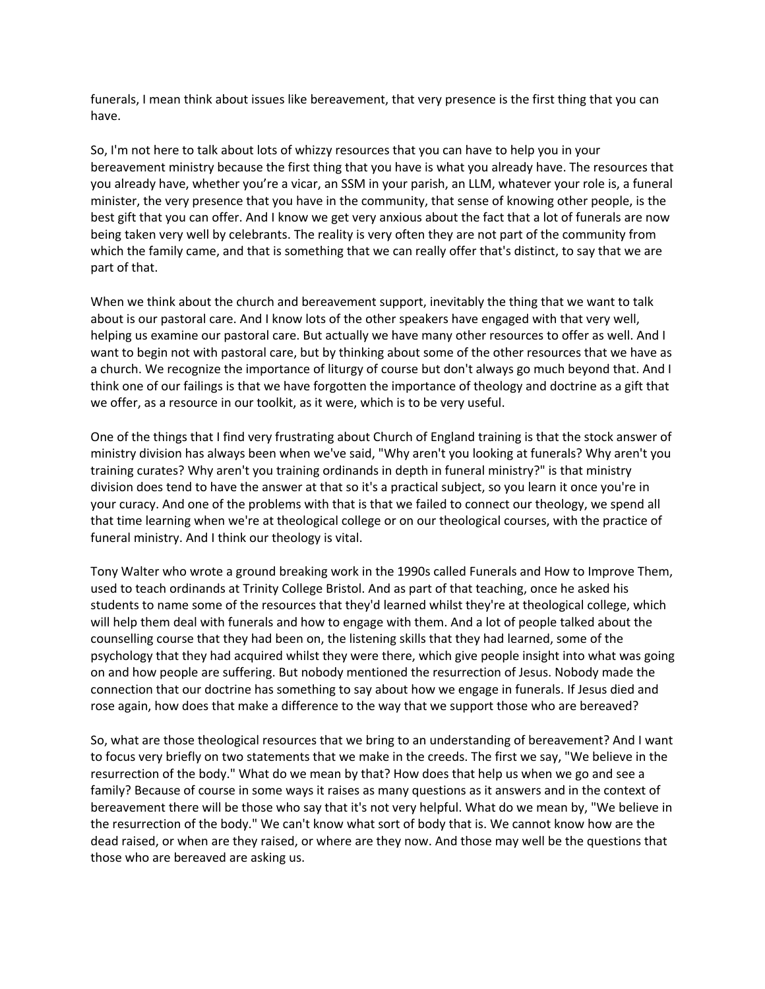funerals, I mean think about issues like bereavement, that very presence is the first thing that you can have.

So, I'm not here to talk about lots of whizzy resources that you can have to help you in your bereavement ministry because the first thing that you have is what you already have. The resources that you already have, whether you're a vicar, an SSM in your parish, an LLM, whatever your role is, a funeral minister, the very presence that you have in the community, that sense of knowing other people, is the best gift that you can offer. And I know we get very anxious about the fact that a lot of funerals are now being taken very well by celebrants. The reality is very often they are not part of the community from which the family came, and that is something that we can really offer that's distinct, to say that we are part of that.

When we think about the church and bereavement support, inevitably the thing that we want to talk about is our pastoral care. And I know lots of the other speakers have engaged with that very well, helping us examine our pastoral care. But actually we have many other resources to offer as well. And I want to begin not with pastoral care, but by thinking about some of the other resources that we have as a church. We recognize the importance of liturgy of course but don't always go much beyond that. And I think one of our failings is that we have forgotten the importance of theology and doctrine as a gift that we offer, as a resource in our toolkit, as it were, which is to be very useful.

One of the things that I find very frustrating about Church of England training is that the stock answer of ministry division has always been when we've said, "Why aren't you looking at funerals? Why aren't you training curates? Why aren't you training ordinands in depth in funeral ministry?" is that ministry division does tend to have the answer at that so it's a practical subject, so you learn it once you're in your curacy. And one of the problems with that is that we failed to connect our theology, we spend all that time learning when we're at theological college or on our theological courses, with the practice of funeral ministry. And I think our theology is vital.

Tony Walter who wrote a ground breaking work in the 1990s called Funerals and How to Improve Them, used to teach ordinands at Trinity College Bristol. And as part of that teaching, once he asked his students to name some of the resources that they'd learned whilst they're at theological college, which will help them deal with funerals and how to engage with them. And a lot of people talked about the counselling course that they had been on, the listening skills that they had learned, some of the psychology that they had acquired whilst they were there, which give people insight into what was going on and how people are suffering. But nobody mentioned the resurrection of Jesus. Nobody made the connection that our doctrine has something to say about how we engage in funerals. If Jesus died and rose again, how does that make a difference to the way that we support those who are bereaved?

So, what are those theological resources that we bring to an understanding of bereavement? And I want to focus very briefly on two statements that we make in the creeds. The first we say, "We believe in the resurrection of the body." What do we mean by that? How does that help us when we go and see a family? Because of course in some ways it raises as many questions as it answers and in the context of bereavement there will be those who say that it's not very helpful. What do we mean by, "We believe in the resurrection of the body." We can't know what sort of body that is. We cannot know how are the dead raised, or when are they raised, or where are they now. And those may well be the questions that those who are bereaved are asking us.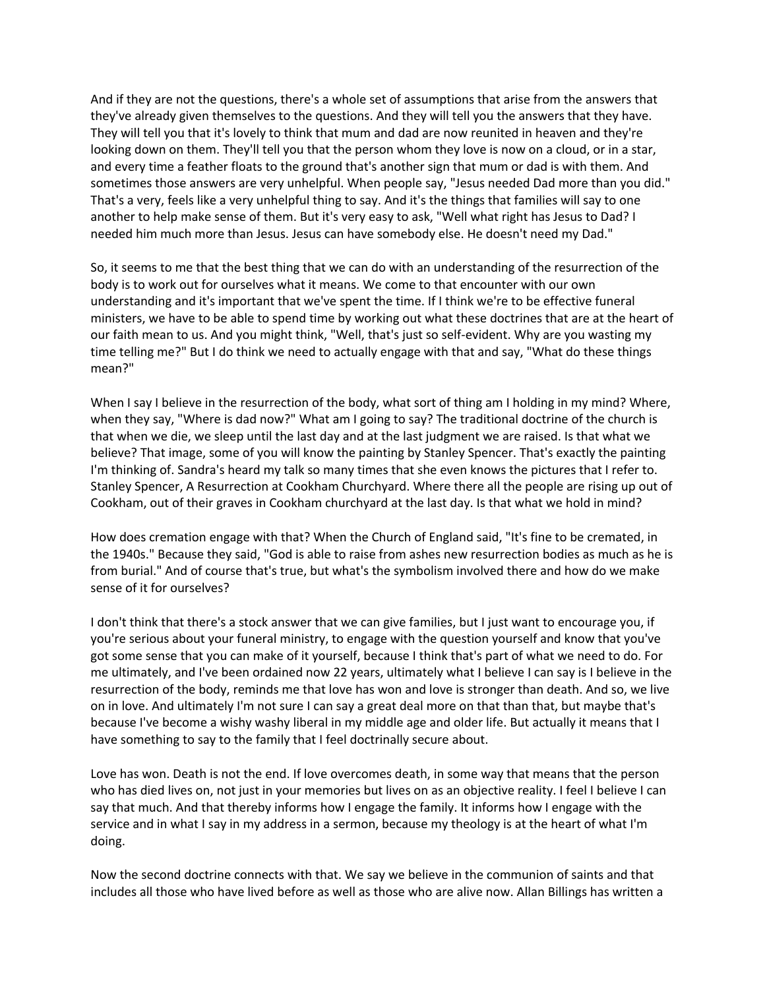And if they are not the questions, there's a whole set of assumptions that arise from the answers that they've already given themselves to the questions. And they will tell you the answers that they have. They will tell you that it's lovely to think that mum and dad are now reunited in heaven and they're looking down on them. They'll tell you that the person whom they love is now on a cloud, or in a star, and every time a feather floats to the ground that's another sign that mum or dad is with them. And sometimes those answers are very unhelpful. When people say, "Jesus needed Dad more than you did." That's a very, feels like a very unhelpful thing to say. And it's the things that families will say to one another to help make sense of them. But it's very easy to ask, "Well what right has Jesus to Dad? I needed him much more than Jesus. Jesus can have somebody else. He doesn't need my Dad."

So, it seems to me that the best thing that we can do with an understanding of the resurrection of the body is to work out for ourselves what it means. We come to that encounter with our own understanding and it's important that we've spent the time. If I think we're to be effective funeral ministers, we have to be able to spend time by working out what these doctrines that are at the heart of our faith mean to us. And you might think, "Well, that's just so self-evident. Why are you wasting my time telling me?" But I do think we need to actually engage with that and say, "What do these things mean?"

When I say I believe in the resurrection of the body, what sort of thing am I holding in my mind? Where, when they say, "Where is dad now?" What am I going to say? The traditional doctrine of the church is that when we die, we sleep until the last day and at the last judgment we are raised. Is that what we believe? That image, some of you will know the painting by Stanley Spencer. That's exactly the painting I'm thinking of. Sandra's heard my talk so many times that she even knows the pictures that I refer to. Stanley Spencer, A Resurrection at Cookham Churchyard. Where there all the people are rising up out of Cookham, out of their graves in Cookham churchyard at the last day. Is that what we hold in mind?

How does cremation engage with that? When the Church of England said, "It's fine to be cremated, in the 1940s." Because they said, "God is able to raise from ashes new resurrection bodies as much as he is from burial." And of course that's true, but what's the symbolism involved there and how do we make sense of it for ourselves?

I don't think that there's a stock answer that we can give families, but I just want to encourage you, if you're serious about your funeral ministry, to engage with the question yourself and know that you've got some sense that you can make of it yourself, because I think that's part of what we need to do. For me ultimately, and I've been ordained now 22 years, ultimately what I believe I can say is I believe in the resurrection of the body, reminds me that love has won and love is stronger than death. And so, we live on in love. And ultimately I'm not sure I can say a great deal more on that than that, but maybe that's because I've become a wishy washy liberal in my middle age and older life. But actually it means that I have something to say to the family that I feel doctrinally secure about.

Love has won. Death is not the end. If love overcomes death, in some way that means that the person who has died lives on, not just in your memories but lives on as an objective reality. I feel I believe I can say that much. And that thereby informs how I engage the family. It informs how I engage with the service and in what I say in my address in a sermon, because my theology is at the heart of what I'm doing.

Now the second doctrine connects with that. We say we believe in the communion of saints and that includes all those who have lived before as well as those who are alive now. Allan Billings has written a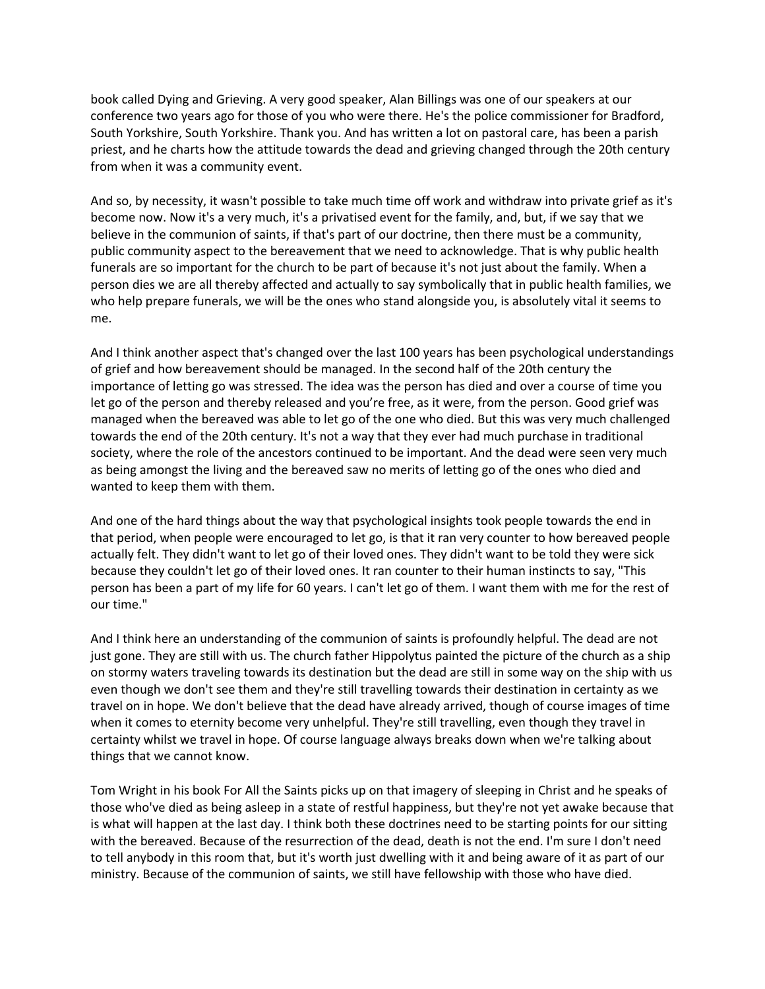book called Dying and Grieving. A very good speaker, Alan Billings was one of our speakers at our conference two years ago for those of you who were there. He's the police commissioner for Bradford, South Yorkshire, South Yorkshire. Thank you. And has written a lot on pastoral care, has been a parish priest, and he charts how the attitude towards the dead and grieving changed through the 20th century from when it was a community event.

And so, by necessity, it wasn't possible to take much time off work and withdraw into private grief as it's become now. Now it's a very much, it's a privatised event for the family, and, but, if we say that we believe in the communion of saints, if that's part of our doctrine, then there must be a community, public community aspect to the bereavement that we need to acknowledge. That is why public health funerals are so important for the church to be part of because it's not just about the family. When a person dies we are all thereby affected and actually to say symbolically that in public health families, we who help prepare funerals, we will be the ones who stand alongside you, is absolutely vital it seems to me.

And I think another aspect that's changed over the last 100 years has been psychological understandings of grief and how bereavement should be managed. In the second half of the 20th century the importance of letting go was stressed. The idea was the person has died and over a course of time you let go of the person and thereby released and you're free, as it were, from the person. Good grief was managed when the bereaved was able to let go of the one who died. But this was very much challenged towards the end of the 20th century. It's not a way that they ever had much purchase in traditional society, where the role of the ancestors continued to be important. And the dead were seen very much as being amongst the living and the bereaved saw no merits of letting go of the ones who died and wanted to keep them with them.

And one of the hard things about the way that psychological insights took people towards the end in that period, when people were encouraged to let go, is that it ran very counter to how bereaved people actually felt. They didn't want to let go of their loved ones. They didn't want to be told they were sick because they couldn't let go of their loved ones. It ran counter to their human instincts to say, "This person has been a part of my life for 60 years. I can't let go of them. I want them with me for the rest of our time."

And I think here an understanding of the communion of saints is profoundly helpful. The dead are not just gone. They are still with us. The church father Hippolytus painted the picture of the church as a ship on stormy waters traveling towards its destination but the dead are still in some way on the ship with us even though we don't see them and they're still travelling towards their destination in certainty as we travel on in hope. We don't believe that the dead have already arrived, though of course images of time when it comes to eternity become very unhelpful. They're still travelling, even though they travel in certainty whilst we travel in hope. Of course language always breaks down when we're talking about things that we cannot know.

Tom Wright in his book For All the Saints picks up on that imagery of sleeping in Christ and he speaks of those who've died as being asleep in a state of restful happiness, but they're not yet awake because that is what will happen at the last day. I think both these doctrines need to be starting points for our sitting with the bereaved. Because of the resurrection of the dead, death is not the end. I'm sure I don't need to tell anybody in this room that, but it's worth just dwelling with it and being aware of it as part of our ministry. Because of the communion of saints, we still have fellowship with those who have died.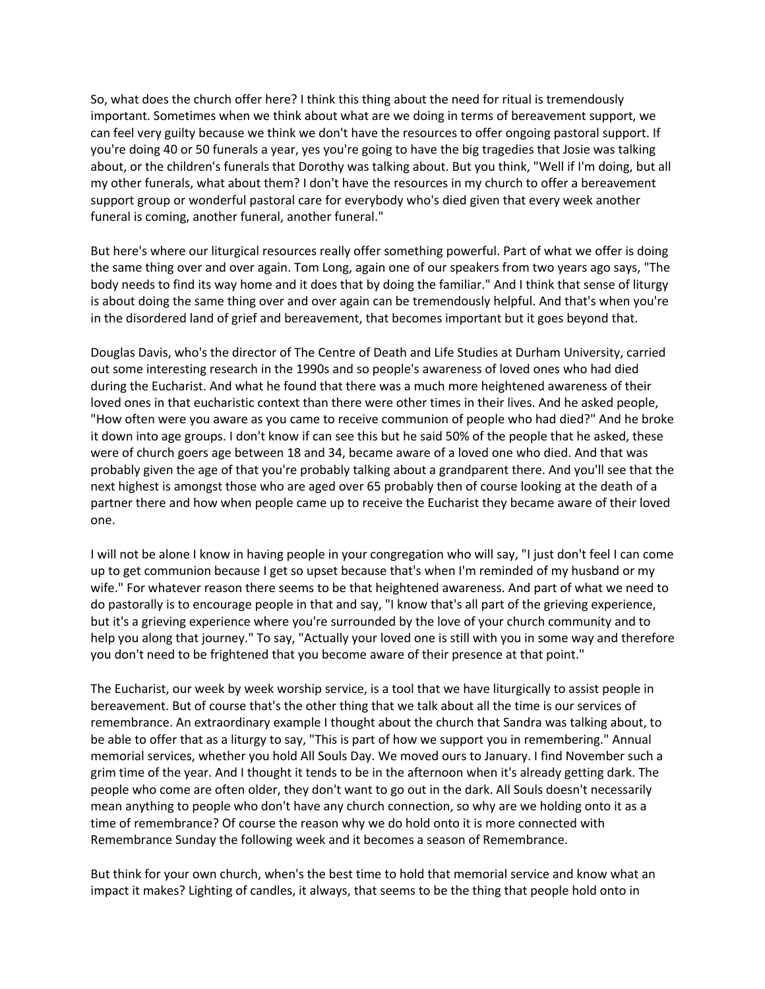So, what does the church offer here? I think this thing about the need for ritual is tremendously important. Sometimes when we think about what are we doing in terms of bereavement support, we can feel very guilty because we think we don't have the resources to offer ongoing pastoral support. If you're doing 40 or 50 funerals a year, yes you're going to have the big tragedies that Josie was talking about, or the children's funerals that Dorothy was talking about. But you think, "Well if I'm doing, but all my other funerals, what about them? I don't have the resources in my church to offer a bereavement support group or wonderful pastoral care for everybody who's died given that every week another funeral is coming, another funeral, another funeral."

But here's where our liturgical resources really offer something powerful. Part of what we offer is doing the same thing over and over again. Tom Long, again one of our speakers from two years ago says, "The body needs to find its way home and it does that by doing the familiar." And I think that sense of liturgy is about doing the same thing over and over again can be tremendously helpful. And that's when you're in the disordered land of grief and bereavement, that becomes important but it goes beyond that.

Douglas Davis, who's the director of The Centre of Death and Life Studies at Durham University, carried out some interesting research in the 1990s and so people's awareness of loved ones who had died during the Eucharist. And what he found that there was a much more heightened awareness of their loved ones in that eucharistic context than there were other times in their lives. And he asked people, "How often were you aware as you came to receive communion of people who had died?" And he broke it down into age groups. I don't know if can see this but he said 50% of the people that he asked, these were of church goers age between 18 and 34, became aware of a loved one who died. And that was probably given the age of that you're probably talking about a grandparent there. And you'll see that the next highest is amongst those who are aged over 65 probably then of course looking at the death of a partner there and how when people came up to receive the Eucharist they became aware of their loved one.

I will not be alone I know in having people in your congregation who will say, "I just don't feel I can come up to get communion because I get so upset because that's when I'm reminded of my husband or my wife." For whatever reason there seems to be that heightened awareness. And part of what we need to do pastorally is to encourage people in that and say, "I know that's all part of the grieving experience, but it's a grieving experience where you're surrounded by the love of your church community and to help you along that journey." To say, "Actually your loved one is still with you in some way and therefore you don't need to be frightened that you become aware of their presence at that point."

The Eucharist, our week by week worship service, is a tool that we have liturgically to assist people in bereavement. But of course that's the other thing that we talk about all the time is our services of remembrance. An extraordinary example I thought about the church that Sandra was talking about, to be able to offer that as a liturgy to say, "This is part of how we support you in remembering." Annual memorial services, whether you hold All Souls Day. We moved ours to January. I find November such a grim time of the year. And I thought it tends to be in the afternoon when it's already getting dark. The people who come are often older, they don't want to go out in the dark. All Souls doesn't necessarily mean anything to people who don't have any church connection, so why are we holding onto it as a time of remembrance? Of course the reason why we do hold onto it is more connected with Remembrance Sunday the following week and it becomes a season of Remembrance.

But think for your own church, when's the best time to hold that memorial service and know what an impact it makes? Lighting of candles, it always, that seems to be the thing that people hold onto in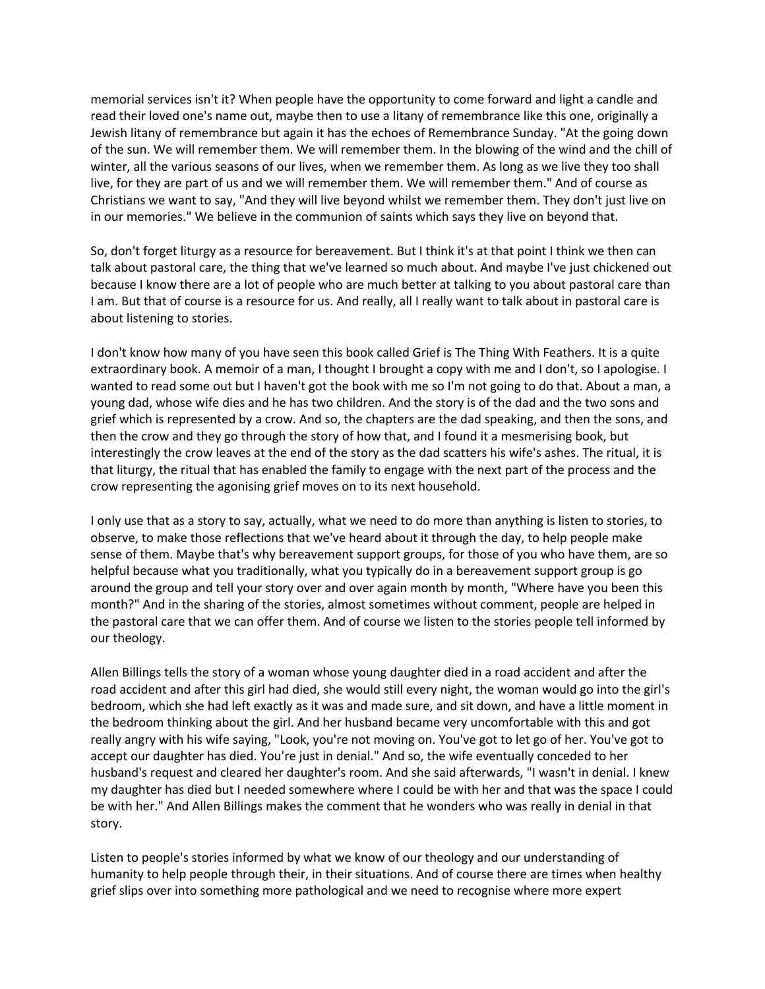memorial services isn't it? When people have the opportunity to come forward and light a candle and read their loved one's name out, maybe then to use a litany of remembrance like this one, originally a Jewish litany of remembrance but again it has the echoes of Remembrance Sunday. "At the going down of the sun. We will remember them. We will remember them. In the blowing of the wind and the chill of winter, all the various seasons of our lives, when we remember them. As long as we live they too shall live, for they are part of us and we will remember them. We will remember them." And of course as Christians we want to say, "And they will live beyond whilst we remember them. They don't just live on in our memories." We believe in the communion of saints which says they live on beyond that.

So, don't forget liturgy as a resource for bereavement. But I think it's at that point I think we then can talk about pastoral care, the thing that we've learned so much about. And maybe I've just chickened out because I know there are a lot of people who are much better at talking to you about pastoral care than I am. But that of course is a resource for us. And really, all I really want to talk about in pastoral care is about listening to stories.

I don't know how many of you have seen this book called Grief is The Thing With Feathers. It is a quite extraordinary book. A memoir of a man, I thought I brought a copy with me and I don't, so I apologise. I wanted to read some out but I haven't got the book with me so I'm not going to do that. About a man, a young dad, whose wife dies and he has two children. And the story is of the dad and the two sons and grief which is represented by a crow. And so, the chapters are the dad speaking, and then the sons, and then the crow and they go through the story of how that, and I found it a mesmerising book, but interestingly the crow leaves at the end of the story as the dad scatters his wife's ashes. The ritual, it is that liturgy, the ritual that has enabled the family to engage with the next part of the process and the crow representing the agonising grief moves on to its next household.

I only use that as a story to say, actually, what we need to do more than anything is listen to stories, to observe, to make those reflections that we've heard about it through the day, to help people make sense of them. Maybe that's why bereavement support groups, for those of you who have them, are so helpful because what you traditionally, what you typically do in a bereavement support group is go around the group and tell your story over and over again month by month, "Where have you been this month?" And in the sharing of the stories, almost sometimes without comment, people are helped in the pastoral care that we can offer them. And of course we listen to the stories people tell informed by our theology.

Allen Billings tells the story of a woman whose young daughter died in a road accident and after the road accident and after this girl had died, she would still every night, the woman would go into the girl's bedroom, which she had left exactly as it was and made sure, and sit down, and have a little moment in the bedroom thinking about the girl. And her husband became very uncomfortable with this and got really angry with his wife saying, "Look, you're not moving on. You've got to let go of her. You've got to accept our daughter has died. You're just in denial." And so, the wife eventually conceded to her husband's request and cleared her daughter's room. And she said afterwards, "I wasn't in denial. I knew my daughter has died but I needed somewhere where I could be with her and that was the space I could be with her." And Allen Billings makes the comment that he wonders who was really in denial in that story.

Listen to people's stories informed by what we know of our theology and our understanding of humanity to help people through their, in their situations. And of course there are times when healthy grief slips over into something more pathological and we need to recognise where more expert